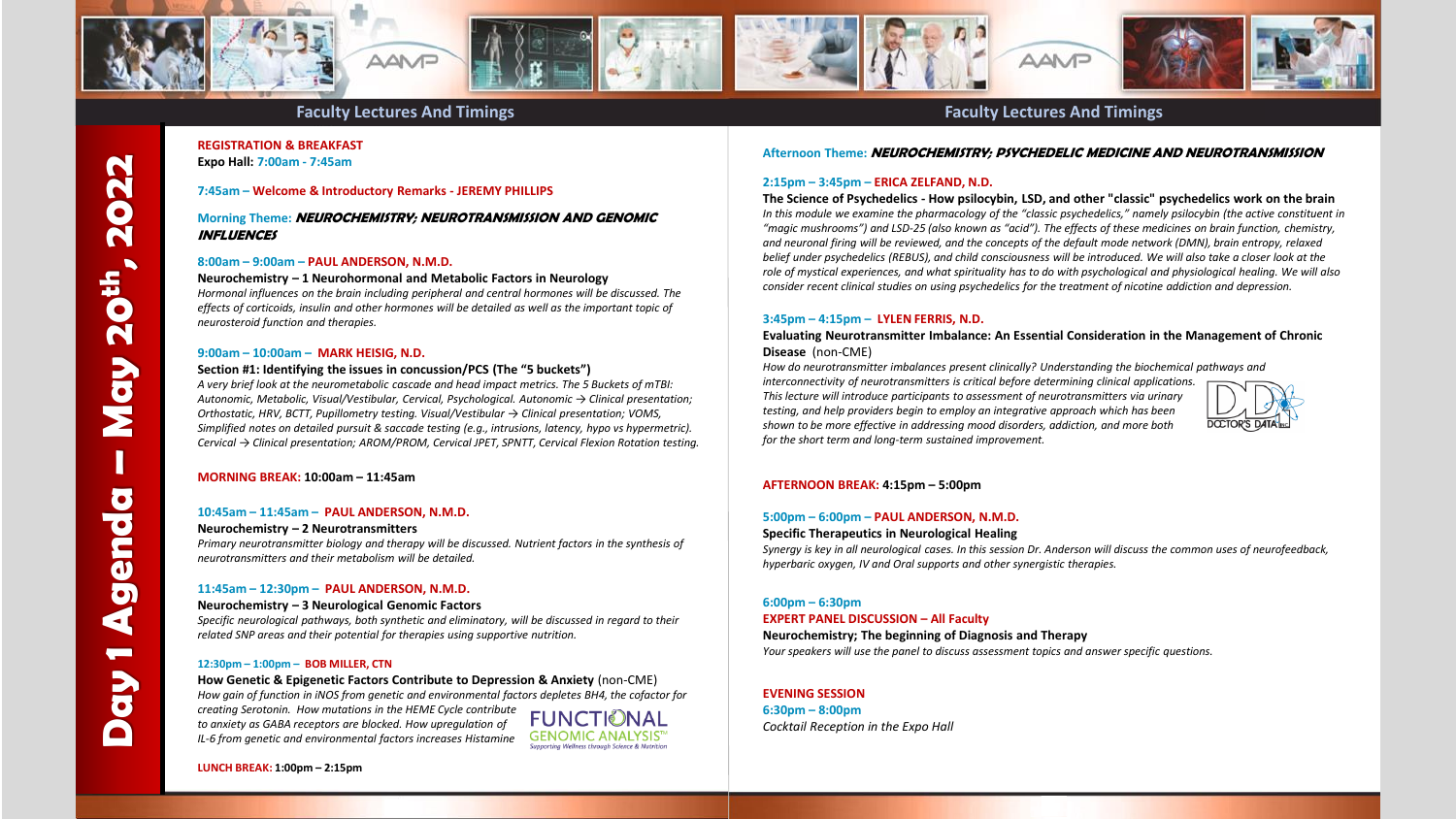

# **Faculty Lectures And Timings Faculty Lectures And Timings**

# **REGISTRATION & BREAKFAST Expo Hall: 7:00am - 7:45am**

#### **7:45am – Welcome & Introductory Remarks - JEREMY PHILLIPS**

# **Morning Theme: NEUROCHEMISTRY; NEUROTRANSMISSION AND GENOMIC INFLUENCES**

#### **8:00am – 9:00am – PAUL ANDERSON, N.M.D.**

**Neurochemistry – 1 Neurohormonal and Metabolic Factors in Neurology** *Hormonal influences on the brain including peripheral and central hormones will be discussed. The effects of corticoids, insulin and other hormones will be detailed as well as the important topic of neurosteroid function and therapies.*

#### **9:00am – 10:00am – MARK HEISIG, N.D.**

#### **Section #1: Identifying the issues in concussion/PCS (The "5 buckets")**

*A very brief look at the neurometabolic cascade and head impact metrics. The 5 Buckets of mTBI: Autonomic, Metabolic, Visual/Vestibular, Cervical, Psychological. Autonomic → Clinical presentation; Orthostatic, HRV, BCTT, Pupillometry testing. Visual/Vestibular → Clinical presentation; VOMS, Simplified notes on detailed pursuit & saccade testing (e.g., intrusions, latency, hypo vs hypermetric). Cervical → Clinical presentation; AROM/PROM, Cervical JPET, SPNTT, Cervical Flexion Rotation testing.*

#### **MORNING BREAK: 10:00am – 11:45am**

#### **10:45am – 11:45am – PAUL ANDERSON, N.M.D.**

#### **Neurochemistry – 2 Neurotransmitters**

*Primary neurotransmitter biology and therapy will be discussed. Nutrient factors in the synthesis of neurotransmitters and their metabolism will be detailed.*

# **11:45am – 12:30pm – PAUL ANDERSON, N.M.D.**

#### **Neurochemistry – 3 Neurological Genomic Factors**

*Specific neurological pathways, both synthetic and eliminatory, will be discussed in regard to their related SNP areas and their potential for therapies using supportive nutrition.*

#### **12:30pm – 1:00pm – BOB MILLER, CTN**

**How Genetic & Epigenetic Factors Contribute to Depression & Anxiety** (non-CME) *How gain of function in iNOS from genetic and environmental factors depletes BH4, the cofactor for* 

*creating Serotonin. How mutations in the HEME Cycle contribute to anxiety as GABA receptors are blocked. How upregulation of IL-6 from genetic and environmental factors increases Histamine*

**GENOMIC ANALYSIS**" **Supporting Wellness through Science & Nutritio** 

**Afternoon Theme: NEUROCHEMISTRY; PSYCHEDELIC MEDICINE AND NEUROTRANSMISSION**

#### **2:15pm – 3:45pm – ERICA ZELFAND, N.D.**

**The Science of Psychedelics - How psilocybin, LSD, and other "classic" psychedelics work on the brain**  *In this module we examine the pharmacology of the "classic psychedelics," namely psilocybin (the active constituent in "magic mushrooms") and LSD-25 (also known as "acid"). The effects of these medicines on brain function, chemistry, and neuronal firing will be reviewed, and the concepts of the default mode network (DMN), brain entropy, relaxed belief under psychedelics (REBUS), and child consciousness will be introduced. We will also take a closer look at the role of mystical experiences, and what spirituality has to do with psychological and physiological healing. We will also consider recent clinical studies on using psychedelics for the treatment of nicotine addiction and depression.*

#### **3:45pm – 4:15pm – LYLEN FERRIS, N.D.**

#### **Evaluating Neurotransmitter Imbalance: An Essential Consideration in the Management of Chronic Disease** (non-CME)

*How do neurotransmitter imbalances present clinically? Understanding the biochemical pathways and interconnectivity of neurotransmitters is critical before determining clinical applications. This lecture will introduce participants to assessment of neurotransmitters via urinary testing, and help providers begin to employ an integrative approach which has been shown to be more effective in addressing mood disorders, addiction, and more both for the short term and long-term sustained improvement.* 



# **AFTERNOON BREAK: 4:15pm – 5:00pm**

# **5:00pm – 6:00pm – PAUL ANDERSON, N.M.D.**

#### **Specific Therapeutics in Neurological Healing**

*Synergy is key in all neurological cases. In this session Dr. Anderson will discuss the common uses of neurofeedback, hyperbaric oxygen, IV and Oral supports and other synergistic therapies.*

#### **6:00pm – 6:30pm**

#### **EXPERT PANEL DISCUSSION – All Faculty**

**Neurochemistry; The beginning of Diagnosis and Therapy** *Your speakers will use the panel to discuss assessment topics and answer specific questions.*

# **EVENING SESSION**

**6:30pm – 8:00pm**  *Cocktail Reception in the Expo Hall*

**LUNCH BREAK: 1:00pm – 2:15pm**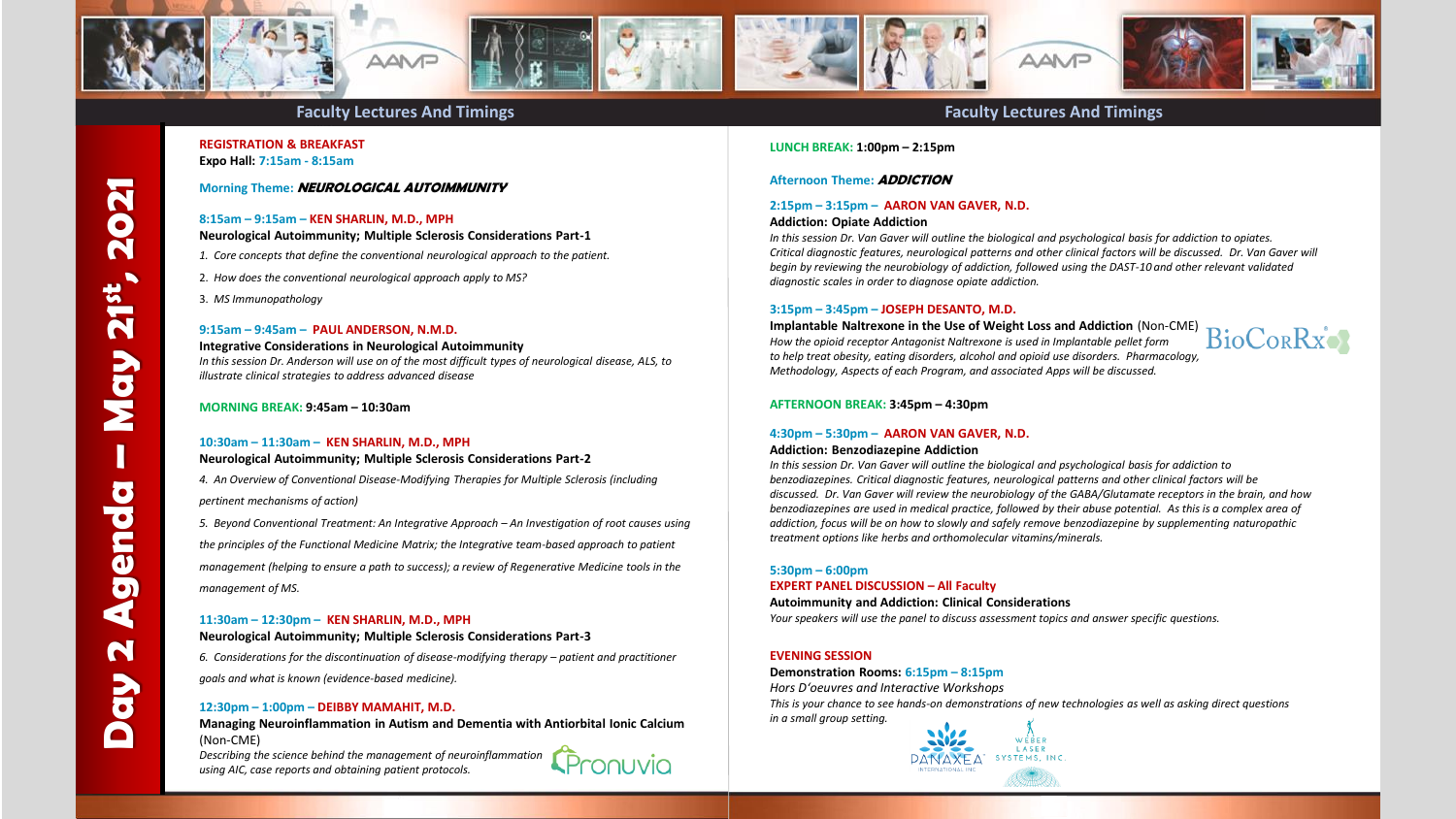

# **REGISTRATION & BREAKFAST Expo Hall: 7:15am - 8:15am**

# **Morning Theme: NEUROLOGICAL AUTOIMMUNITY**

# **8:15am – 9:15am – KEN SHARLIN, M.D., MPH**

**Neurological Autoimmunity; Multiple Sclerosis Considerations Part-1**

- *1. Core concepts that define the conventional neurological approach to the patient.*
- 2. *How does the conventional neurological approach apply to MS?*
- 3. *MS Immunopathology*

# **9:15am – 9:45am – PAUL ANDERSON, N.M.D.**

#### **Integrative Considerations in Neurological Autoimmunity**

*In this session Dr. Anderson will use on of the most difficult types of neurological disease, ALS, to illustrate clinical strategies to address advanced disease*

# **MORNING BREAK: 9:45am – 10:30am**

# **10:30am – 11:30am – KEN SHARLIN, M.D., MPH**

# **Neurological Autoimmunity; Multiple Sclerosis Considerations Part-2**

*4. An Overview of Conventional Disease-Modifying Therapies for Multiple Sclerosis (including pertinent mechanisms of action)* 

*5. Beyond Conventional Treatment: An Integrative Approach – An Investigation of root causes using the principles of the Functional Medicine Matrix; the Integrative team-based approach to patient management (helping to ensure a path to success); a review of Regenerative Medicine tools in the management of MS.*

# **11:30am – 12:30pm – KEN SHARLIN, M.D., MPH**

## **Neurological Autoimmunity; Multiple Sclerosis Considerations Part-3**

*6. Considerations for the discontinuation of disease-modifying therapy – patient and practitioner goals and what is known (evidence-based medicine).*

# **12:30pm – 1:00pm – DEIBBY MAMAHIT, M.D.**

**Managing Neuroinflammation in Autism and Dementia with Antiorbital Ionic Calcium** (Non-CME)

*Describing the science behind the management of neuroinflammation using AIC, case reports and obtaining patient protocols.*



# **LUNCH BREAK: 1:00pm – 2:15pm**

# **Afternoon Theme: ADDICTION**

# **2:15pm – 3:15pm – AARON VAN GAVER, N.D.**

## **Addiction: Opiate Addiction**

*In this session Dr. Van Gaver will outline the biological and psychological basis for addiction to opiates. Critical diagnostic features, neurological patterns and other clinical factors will be discussed. Dr. Van Gaver will begin by reviewing the neurobiology of addiction, followed using the DAST-10 and other relevant validated diagnostic scales in order to diagnose opiate addiction.*

# **3:15pm – 3:45pm – JOSEPH DESANTO, M.D.**

## **Implantable Naltrexone in the Use of Weight Loss and Addiction** (Non-CME) *How the opioid receptor Antagonist Naltrexone is used in Implantable pellet form to help treat obesity, eating disorders, alcohol and opioid use disorders. Pharmacology, Methodology, Aspects of each Program, and associated Apps will be discussed.*



# **AFTERNOON BREAK: 3:45pm – 4:30pm**

# **4:30pm – 5:30pm – AARON VAN GAVER, N.D.**

## **Addiction: Benzodiazepine Addiction**

*In this session Dr. Van Gaver will outline the biological and psychological basis for addiction to benzodiazepines. Critical diagnostic features, neurological patterns and other clinical factors will be discussed. Dr. Van Gaver will review the neurobiology of the GABA/Glutamate receptors in the brain, and how benzodiazepines are used in medical practice, followed by their abuse potential. As this is a complex area of addiction, focus will be on how to slowly and safely remove benzodiazepine by supplementing naturopathic treatment options like herbs and orthomolecular vitamins/minerals.*

# **5:30pm – 6:00pm**

## **EXPERT PANEL DISCUSSION – All Faculty**

#### **Autoimmunity and Addiction: Clinical Considerations**

*Your speakers will use the panel to discuss assessment topics and answer specific questions.*

# **EVENING SESSION**

## **Demonstration Rooms: 6:15pm – 8:15pm**

*Hors D'oeuvres and Interactive Workshops This is your chance to see hands-on demonstrations of new technologies as well as asking direct questions in a small group setting.*